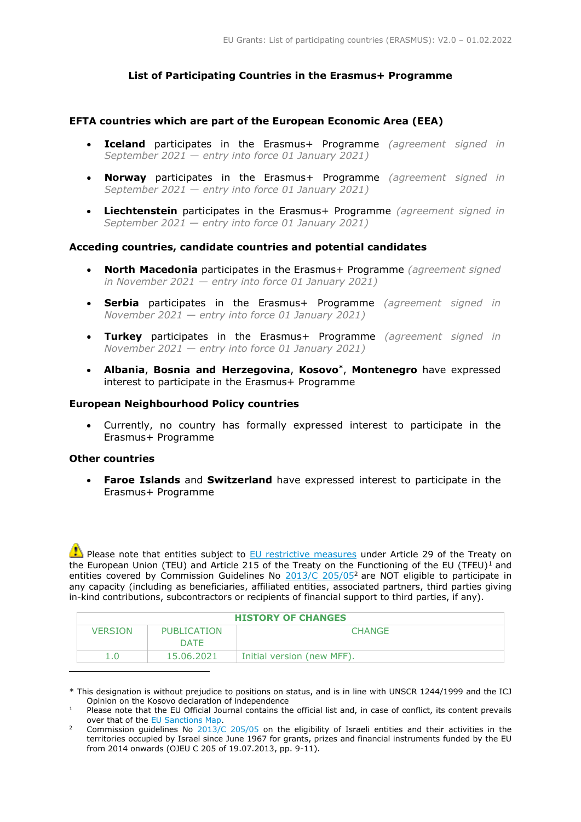# **List of Participating Countries in the Erasmus+ Programme**

## **EFTA countries which are part of the European Economic Area (EEA)**

- **Iceland** participates in the Erasmus+ Programme *(agreement signed in September 2021* — *entry into force 01 January 2021)*
- **Norway** participates in the Erasmus+ Programme *(agreement signed in September 2021* — *entry into force 01 January 2021)*
- **Liechtenstein** participates in the Erasmus+ Programme *(agreement signed in September 2021 — entry into force 01 January 2021)*

## **Acceding countries, candidate countries and potential candidates**

- **North Macedonia** participates in the Erasmus+ Programme *(agreement signed in November 2021 — entry into force 01 January 2021)*
- **Serbia** participates in the Erasmus+ Programme *(agreement signed in November 2021 — entry into force 01 January 2021)*
- **Turkey** participates in the Erasmus+ Programme *(agreement signed in November 2021 — entry into force 01 January 2021)*
- **Albania**, **Bosnia and Herzegovina**, **Kosovo\*** , **Montenegro** have expressed interest to participate in the Erasmus+ Programme

## **European Neighbourhood Policy countries**

 Currently, no country has formally expressed interest to participate in the Erasmus+ Programme

## **Other countries**

l

 **Faroe Islands** and **Switzerland** have expressed interest to participate in the Erasmus+ Programme

Please note that entities subject to **EU** restrictive measures under Article 29 of the Treaty on the European Union (TEU) and Article 215 of the Treaty on the Functioning of the EU (TFEU)<sup>1</sup> and entities covered by Commission Guidelines No [2013/C 205/05](http://eur-lex.europa.eu/LexUriServ/LexUriServ.do?uri=OJ:C:2013:205:FULL:EN:PDF)<sup>2</sup> are NOT eligible to participate in any capacity (including as beneficiaries, affiliated entities, associated partners, third parties giving in-kind contributions, subcontractors or recipients of financial support to third parties, if any).

| <b>HISTORY OF CHANGES</b> |             |                            |  |
|---------------------------|-------------|----------------------------|--|
| <b>VERSION</b>            | PUBLICATION | <b>CHANGE</b>              |  |
|                           | DATF        |                            |  |
|                           | 15.06.2021  | Initial version (new MFF). |  |

<sup>\*</sup> This designation is without prejudice to positions on status, and is in line with UNSCR 1244/1999 and the ICJ Opinion on the Kosovo declaration of independence

<sup>&</sup>lt;sup>1</sup> Please note that the EU Official Journal contains the official list and, in case of conflict, its content prevails over that of th[e EU Sanctions Map.](http://www.sanctionsmap.eu/)

<sup>2</sup> Commission guidelines No [2013/C 205/05](http://eur-lex.europa.eu/LexUriServ/LexUriServ.do?uri=OJ:C:2013:205:FULL:EN:PDF) on the eligibility of Israeli entities and their activities in the territories occupied by Israel since June 1967 for grants, prizes and financial instruments funded by the EU from 2014 onwards (OJEU C 205 of 19.07.2013, pp. 9-11).